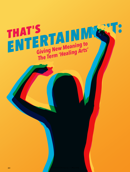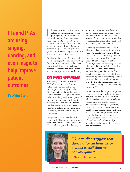**PTs and PTAs are using singing, dancing, and even magic to help improve patient outcomes.** 

### *By Keith Loria*

In the 21st century, physical thera<br>
(PTs) are tapping into many form<br>
of participatory entertainment to<br>
help their patients. Many are using n the 21st century, physical therapists (PTs) are tapping into many forms of participatory entertainment to music in a variety of ways. Some PTs evoke vaudeville acts for senior citizens with memory impairment. Some even practice magic to improve patients' gross motor function, improve strength and balance, and relieve pain.

Employing the performing arts in physical therapist practice can be rewarding for patients and clinicians alike. Since motivation is important to clinical success, the motivating power of the arts can help produce quicker healing.

### *THE DANCE ADVANTAGE*

Since 2005, Gammon M. Earhart, PT, PhD, director of the Program in Physical Therapy within the Washington University School of Medicine in St Louis, has been studying the benefits of tango dancing for balance, walking, and other aspects of function among people with Parkinson disease (PD). Additionally, over the past few years, her program has examined the effects of music and singing on walking performance among that population.

"Tango and other dance classes for people with PD now are offered around the nation and the world," she observes. "Our studies suggest that dancing for

an hour twice a week is sufficient to convey gains. Elements of dance also can be incorporated into treatment sessions," she notes, such as strategies to promote turning, walking backward, and other specific movements.

One study compared people with PD who danced twice a week for an entire year with people who continued their typical activities without any specific exercise prescription. The results showed that the trajectory of the disease process was less steep in those who danced the tango.<sup>1</sup> Other studies have explored the effects of tango versus other types of dancing, the benefits of tango versus treadmill use or stretching, the pluses of tango versus ballroom dancing for rehabilitation, and whether telerehabilitation can be used when working with patients doing the tango. $2-7$ 

While Earhart's data suggest improvements at the group level with dance, patients also self-report the ways in which they feel dance has helped them. For example, she recalls, 1 patient said that after dancing for 3 months, he noticed how much more easily he could walk and move within his home. He was excited to report that he could go to his closet, get his slippers, then take a few steps backward to get out of the closet. Before, he would get stuck because he was unable to move backward safely.

*"Our studies suggest that dancing for an hour twice a week is sufficient to convey gains."* GAMMON M. EARHART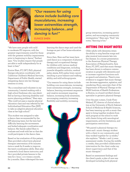

*"Our reasons for using dance include building core musculatures, increasing lower extremities strength, increasing balance...and dancing is fun!"* EUNICE SHEN

"We have seen people with mild to moderate PD improve, with the greatest improvements noted for those with the greatest mobility impairments prior to beginning to dance," Earhart says. "Our studies require that people are able to walk independently for at least 10 feet."

Eunice Shen, PT, DPT, PhD, physical therapy education coordinator with California Children's Medical Services, Department of Public Health, started integrating dance into her therapy sessions in 2005.

"As a consultant and volunteer in my community, I started working with a high school freshman who was identified as having a learning disability and motor planning problems," Shen says. "She could not pass a regular physical education class and was referred by her Individualized Education Plan [IEP] to take an adaptive physical education class at her high school."

This student was assigned to take a dance class recommended by the IEP planning team, but the teen had difficulty learning the movements and lacked adequate coordination and balance. Her family asked Shen to evaluate and work with her so that she could participate in the dance class.

Based on her evaluation of this patient, Shen provided a short-term physical therapist intervention of 60 minutes twice a week for 8 weeks to improve the teen's coordination skills. Shen also contacted a local dance instructor, and the 2 provided private lessons to the teen for 1 hour, 1 or 2 times a month, for 3 months. Shen videotaped the teen

learning the dance steps and used the footage as part of her home education program.

Since then, Shen and her team have used dance as a component of physical therapy and occupational therapy for children with various medical conditions and diagnoses, including juvenile idiopathic arthritis, cerebral palsy, ataxia, Erb's palsy, brain cancer resulting in poor balance and walking ability, and mild arthrogryposis.

"Our reasons for using dance include building core musculatures, increasing lower extremities strength, increasing balance, learning movement sequences and creative movement requiring balance, increasing body awareness, encouraging creativity, increasing flexibility and mobility, increasing



group interaction, increasing participation, and encouraging community reintegration," Shen says. "And," she notes, "dancing is fun."

#### *HITTING THE RIGHT NOTES*

Older adults with dementia retain the ability to sing familiar songs and play musical instruments late into the disease. In a recent presentation to the American Physical Therapy Association of Massachusetts, Sara Knox, PT, DPT, said that music therapy has been shown to enhance communication in people with dementia and to increase cognitive functions such as speech and attention. There's even evidence to suggest that music therapy can decrease aggression, agitation, and wandering. Knox, associate chair of the Department of Physical Therapy at the MGH Institute of Health Professions in Boston, is a board-certified clinical specialist in geriatric physical therapy.

Over the past 2 years, Cindy Flom-Meland, PT, director of clinical education at the University of North Dakota's School of Medicine & Health Sciences, has been teaming up with a music therapist to bring together students from each program at the school to work with clients living with neurological impairments, activity limitations, and participation restrictions.

"We paired 2 physical therapy students and 1 music therapy student with a client in our community, and they worked together for 13 weeks," she explains. "Weeks 1 and 13 were assessment weeks. During the middle 11 weeks, they provided collaborative intervention for the client under my direct supervision and that of the music therapist."

Based on assessment findings and the client's goals, a plan of care was developed including both physical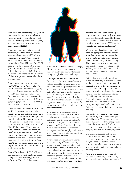therapy and music therapy. The 3 music therapy techniques employed were rhythmic auditory stimulation (RAS), patterned sensory enhancement (PSE), and therapeutic instrumental music performance (TIMP).

"RAS was more beneficial with gait activities, PSE with sit-to-stand transitions and step taps, and TIMP with reaching activities," Flom-Meland says. "The assessment measurements included the Timed-Up-and-Go [TUG], cognitive TUG, 5-times-sit-to-stand [FTSTS], Berg Balance Scale [BBS], gait analysis with use of GaitRite, and a quality-of-life measure. The majority of clients improved in several of these assessments."

For example, one client improved her TUG time from 58 seconds with minimal assistance at week 1 to 35.34 seconds with contact guard assist by week 13, and her FTSTS improved from 38.66 seconds to 22.81 seconds. Another client improved her BBS from 33/56 to 45/56 and her FTSTS from 19 seconds to 11.16 seconds.

"We also were able to simulate 'beach walking' for one client who had a vacation planned with her family and wanted to walk rather than be pushed in a wheelchair. This meant the world to her, and it was such a joy to hear about her vacation when she returned," Flom-Meland says. "The music the music therapist used was based on the client's preferences, so the client found it motivating. It was fun to see how the music and techniques used in conjunction with facilitation from the PT helped clients move better and improve in functional status. We truly are better together."

Donna Frownfelter, PT, DPT, MA, program director of the transitional doctor of physical therapy (DPT) program at Rosalind Franklin University of



Medicine and Science in North Chicago, Illinois, has been using music and imagery in physical therapy for years. Lately, though, she's seen it change.

"I always was involved with music from church choirs to musical groups in high school to performing in musicals—and have long incorporated music and imagery with my patients who have difficulties relating to cardiovascular and pulmonary performance," she says. She became even more involved when her daughter, Lauren Frownfelter Viljamaa, MT-BC, who taught music for 15 years, went back to school to become a music therapist.

Over the past 2 years, the 2 found commonalities and opportunities to collaborate, and developed ways to optimize patient outcomes with both music and therapy. They presented a session at APTA's Combined Sections Meeting earlier this year outlining the concepts of combining physical therapy and music therapy, and demonstrating applications in practice.

"I have used music with my patients, and I used it myself when I had my knees replaced. I have seen its effect on patients—either getting them more involved with activity and motivated in pulmonary or cardiac rehab programs, or calming them during stressful procedures," Frownfelter says. "Many PTs have seen the literature regarding

benefits for people with neurological impairments such as CVA [cerebrovascular accident], autism, and Parkinson disease but are not as aware of music's benefits for people with CVP [cardiovascular and pulmonary] issues."

When she sends patients home with a walking program, Frownfelter has identified music that motivates them and is fun to listen to while walking the recommended 30 minutes a day. The music therapist, she notes, can help identify the appropriate pace of walking and can include music with faster or slower paces to encourage the desired gait.

"Virtually anyone can benefit from music with activity, but evidence [from studies conducted] with doctors and nurses has shown that music has a very positive effect on people with CVP issues by producing desired decreases in vital signs and providing a sense of well-being and motivation," 8–12 Frownfelter says. "I am interested in patients who were hospitalized not being re-hospitalized with CVP issues. Activity, exercise, and airway clearance can help."

Frownfelter also recently has begun collaborating with a music therapist at a local hospital. They team up to play music during procedures that patients may find frightening, difficult, or painful—such as magnetic resonance imaging and pre-surgery angiograms.

She has seen success with having patients listen to Mozart—seeing heart rate, blood pressure, respiratory rate, and cortisol levels decrease. Furthermore, she notes, in some intensive care units music is played to have a calming effect.

"The music needs to be preferred or self-selected—not just something someone decides to play for a patient,"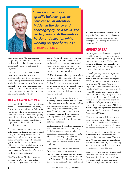

*"Every number has a specific balance, gait, or cardiovascular intention hidden in the dance and choreography. As a result, the participants push themselves harder and have fun while working on specific issues."* CHRISTINE CHILDERS

Frownfelter says. "Some music can trigger negative memories and can be disturbing rather than calming, so care must be taken to optimize the experience."

Other researchers also have found benefits to music. For example, in addition to her positive experiences with dancing, Earhart was involved in a study that showed promise for singing as an effective cueing technique that may be as good as or better than traditional cueing techniques for improving gait among people with PD.13

## *BLASTS FROM THE PAST*

Christine Childers, PT, assistant director of the DPT program at the University of St Augustine in San Marcos, California, has developed a program around movement and music that uses choreography themed to music appropriate for patients who are older—such as songs that were popular when those individuals were considerably younger.

"I conduct a 60-minute workout with older adults, including those in assisted living and memory care units," she says. "It is an intensive workout, but every number has a specific balance, gait, or cardiovascular intention hidden in the dance and choreography. As a result, the participants push themselves harder and have fun while working on specific issues."

Like Frownfelter, Childers presented a session at CSM this year. Titled "Can Treating Geriatrics Be 'Sexy'?

Yes, by Adding Evidence, Movement, and Music," Childers' presentation explained her program of incorporating music and movement into interventions to improve balance, strengthening, and functional mobility.

Childers first started using music when she was asked to conduct an afternoon activity session at an assisted living facility. At the time, she was working on an assignment involving cognitive and self-efficacy theory that emphasized performance accomplishment or prior mastery of a skill.

"I know that many members of our current geriatric cohort—the so-called 'Silent Generation'—danced as a hobby and that dance venues were where they hung out on weekends," she says. "I decided to put the 2 things together—dancing themed to incorporate physical therapy concepts that were critical for aging adults, such as balance strategies."

Childers primarily conducts movement and music sessions at assisted living facilities, using students from her program in a service learning capacity. That, she says, helps them learn to better communicate with older adults and to see how hard they safely can push them.

"Any of our older adults can benefit from this type of exercise concept, as it increases their physical activity, which is a primary component for fall prevention," she says. "The themed work also can focus on specific balance deficits. It also can be used with individuals with a specific diagnosis, such as Parkinson disease, as we can incorporate the concepts of increasing amplitude of movement."

### *ABRACADABRA*

Kevin Spencer has been working with providers and their patients for more than 20 years using simple magic tricks to accompany therapy. He founded Healing of Magic when he realized the challenges of motivating patients during a long rehabilitation.

"I developed a systematic, organized approach to using magic tricks" to give PTs and occupational therapists [OTs] another tool in their therapeutic programs," he says. "The most important aspect of this technique is the client's ability to transfer the skills learned by performing magic tricks into activities of daily living. Learning and performing magic tricks offers them a means to safely explore their skill level while providing a fun way of reaching therapeutic goals." He has received approved provider status from the American Occupational Therapy Association (AOTA).

He started using magic for treatment after becoming involved in a serious car accident when he was in his late 20s. Learning and performing magic became an important part of his own recovery.

"Each magic trick I learned improved my motor skills and strength, and increased my independence," Spencer says. "It also bolstered my confidence and self-esteem, helping to reshape my self-concept—something that is crucial for every recovering patient."

Spencer recently worked with physical therapist students at the University of Iowa, teaching them how to tie "magical" knots, make a wand seemingly float in the air, and make rubber bands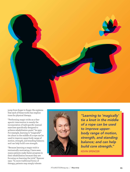

jump from finger to finger. He explains that each of these tricks has implications for physical therapy.

"Performing magic tricks as a therapeutic intervention is merely the incorporation of task-specific manual exercises specifically designed to achieve rehabilitation goals," he says. For example, learning to "magically" tie a knot in the middle of a rope can be used to improve upper-body range of motion, strength, and standing balance; and can help build core strength.

"Because learning a magic trick is intrinsically motivating, I have seen many patients make faster progress in their rehabilitation because they are focusing on learning the trick," Spencer says. "In more traditional forms of therapy, patients may simply tolerate



*"Learning to 'magically' tie a knot in the middle of a rope can be used to improve upperbody range of motion, strength, and standing balance; and can help build core strength."*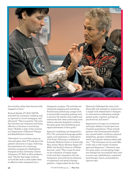

the activities rather than become fully engaged in them."

Richard Shields, PT, PhD, FAPTA, attended the university workshop and, as reported in a local newspaper, said afterward, "This is powerful. The interface between any treatment and being effective on humans is motivating them." Shields is chair of the university's Department of Physical Therapy and Rehabilitation Sciences.

"Motivation" is a word that comes up time and again when PTs talk about the patient's attraction to magic. Following the presentation of a continuing education program for rehabilitation therapists at Elon University, Charity Johansson, PT, PhD, an Elon professor, said, "The fact that magic tricks do not look like work is what makes them so effective when integrated into a

therapeutic program. The activities are inherently engaging and motivating. And because performing a magic trick is intrinsically rewarding, patients tend to practice the task far more readily and extensively than when performing more tedious exercises designed to achieve the same goals, thus facilitating more rapid achievement of their goals."

Spencer's workshops are designed for PTs, OTs, and speech-language pathologists, and sometimes a combination of all three. Following a workshop at Somerset Medical Center in Somerville, New Jersey, Nancy Morasso Reger, PT, MHS—the facility's Director of Rehab Services—said: "This course focused on the utilization of simple magic tricks and their integration into the therapeutic interventions for physical, occupational, and speech therapy patients….I appreciated the fact that

[Spencer] challenged the class, both physically and mentally, to analyze how a simple trick related back to therapeutic interventions addressing multiple patient goals: cognitive, perceptual, psychosocial, and motor."

Applications of magic as a treatment technique address a broad spectrum of patient populations. These include patients with developmental disabilities, mental health conditions, physical disabilities, geriatric rehabilitation needs, and specific disease-related deficits.14 "The technique can be used effectively with a wide variety of patient ages and diagnoses," Johansson says. For many years, incorporating magic into therapy has successfully been used in acute care, rehabilitation, outpatient hand therapy clinics, and pediatrics, Spencer says.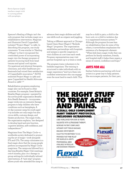Kevin Spencer (right) teaches a magic trick to a young patient with paraplegia.

Spencer's Healing of Magic isn't the only program that includes magic as a rehabilitative intervention. Magician and illusionist David Copperfield initiated "Project Magic" in 1982. In describing the program, one study comments: "It was similar to 'Healing of Magic' in that it recognized the overlooked power of incorporating magic into the therapy program of patients bouncing back from head trauma and spinal cord injuries. Occupational and physical therapists, clinicians, and other healthcare professionals had voiced their satisfaction of Copperfield's innovation."3 AOTA endorsed Project Magic in 1982 and gave Copperfield its Health Advocate Award in 1988.15,16

Rehabilitation programs employing magic also can be found in other countries. For example, Great Britain's Breathe Magic program—operated by the not-for-profit organization Breathe Arts Health Research— incorporates magic tricks into an intensive therapy program to help children who have conditions such as hemiplegia. A 10-day summer camp for youth aged 7-19 includes not only magic but also circus skills, costume design, and theater production. The magic tricks, the organization explains, "are designed to develop hand and arm function, cognitive abilities, self-confidence, and independence."17

Magicians from The Magic Circle—a worldwide society dedicated to promoting the art of magic—work alongside PTs and OTs. The camp culminates in a final magic show that the young people perform accompanied by Magic Circle magicians. The camps are followed by 3 day-long Breathe Magic Club meetings over 6 months, plus 1-to-1 therapy in group settings for individually tailored interventions. A "next step" program allows youth who attended the camp to

advance their magic abilities and add new skills such as origami and juggling.

Taking a different approach is Chicagobased Open Heart Magic's "Bedside Magic" programs. The organization establishes partnerships with hospitals and assigns a specific magician to visit children at a set time each week. Program representatives may visit partner hospitals up to 3 times a week.

The program trains volunteers to be bedside magicians. The training is structured to take individuals with no magic experience "and turn them into confident entertainers who can engage even the most hard-to-reach child. This may be a child in pain, a child in the burn unit, or a child in isolation due to a suppressed immune system."18 Although the program focuses less on rehabilitation than do some of the others, it nevertheless emphasizes the existence of a therapeutic element: "When kids learn magic tricks they can perform for family members, friends, and hospital staff, it helps them regain a sense of control, confidence and hope."

# *ARTS FOR ALL*

Earhart believes partnering with local artists is a great way to help patients. She encourages patients, for their part,